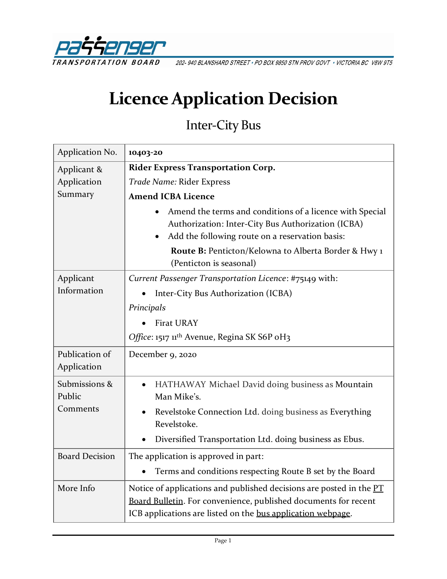

202-940 BLANSHARD STREET . PO BOX 9850 STN PROV GOVT . VICTORIA BC V8W 9T5

# **Licence Application Decision**

## Inter-City Bus

| Application No.               | 10403-20                                                                                                                                                                                                                                             |  |
|-------------------------------|------------------------------------------------------------------------------------------------------------------------------------------------------------------------------------------------------------------------------------------------------|--|
| Applicant &                   | <b>Rider Express Transportation Corp.</b>                                                                                                                                                                                                            |  |
| Application                   | Trade Name: Rider Express                                                                                                                                                                                                                            |  |
| Summary                       | <b>Amend ICBA Licence</b>                                                                                                                                                                                                                            |  |
|                               | Amend the terms and conditions of a licence with Special<br>Authorization: Inter-City Bus Authorization (ICBA)<br>Add the following route on a reservation basis:<br>Route B: Penticton/Kelowna to Alberta Border & Hwy 1<br>(Penticton is seasonal) |  |
| Applicant                     | Current Passenger Transportation Licence: #75149 with:                                                                                                                                                                                               |  |
| Information                   | Inter-City Bus Authorization (ICBA)                                                                                                                                                                                                                  |  |
|                               | Principals                                                                                                                                                                                                                                           |  |
|                               | <b>Firat URAY</b>                                                                                                                                                                                                                                    |  |
|                               | Office: 1517 11 <sup>th</sup> Avenue, Regina SK S6P oH3                                                                                                                                                                                              |  |
| Publication of<br>Application | December 9, 2020                                                                                                                                                                                                                                     |  |
| Submissions &<br>Public       | HATHAWAY Michael David doing business as Mountain<br>Man Mike's.                                                                                                                                                                                     |  |
| Comments                      | Revelstoke Connection Ltd. doing business as Everything<br>Revelstoke.                                                                                                                                                                               |  |
|                               | Diversified Transportation Ltd. doing business as Ebus.                                                                                                                                                                                              |  |
| <b>Board Decision</b>         | The application is approved in part:                                                                                                                                                                                                                 |  |
|                               | Terms and conditions respecting Route B set by the Board<br>$\bullet$                                                                                                                                                                                |  |
| More Info                     | Notice of applications and published decisions are posted in the PT<br>Board Bulletin. For convenience, published documents for recent<br>ICB applications are listed on the bus application webpage.                                                |  |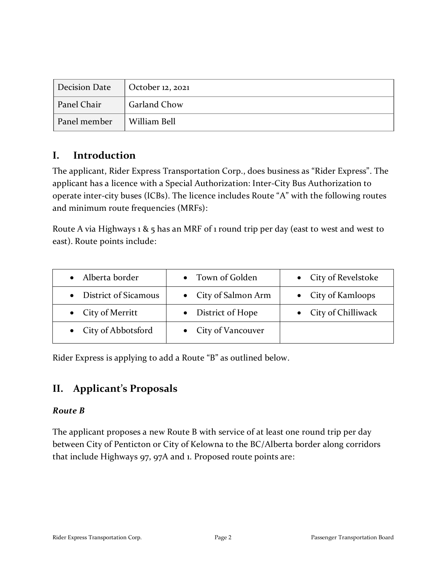| Decision Date | October 12, 2021 |
|---------------|------------------|
| Panel Chair   | Garland Chow     |
| Panel member  | William Bell     |

## **I. Introduction**

The applicant, Rider Express Transportation Corp., does business as "Rider Express". The applicant has a licence with a Special Authorization: Inter-City Bus Authorization to operate inter-city buses (ICBs). The licence includes Route "A" with the following routes and minimum route frequencies (MRFs):

Route A via Highways 1 & 5 has an MRF of 1 round trip per day (east to west and west to east). Route points include:

| Alberta border              | • Town of Golden     | • City of Revelstoke |
|-----------------------------|----------------------|----------------------|
| <b>District of Sicamous</b> | • City of Salmon Arm | • City of Kamloops   |
| • City of Merritt           | • District of Hope   | • City of Chilliwack |
| • City of Abbotsford        | • City of Vancouver  |                      |

Rider Express is applying to add a Route "B" as outlined below.

## **II. Applicant's Proposals**

#### *Route B*

The applicant proposes a new Route B with service of at least one round trip per day between City of Penticton or City of Kelowna to the BC/Alberta border along corridors that include Highways 97, 97A and 1. Proposed route points are: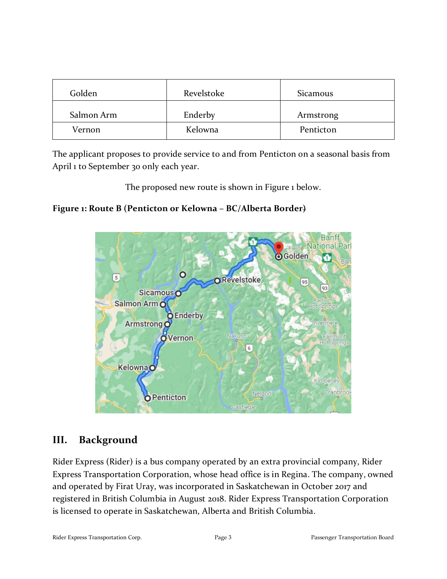| Golden     | Revelstoke | Sicamous  |
|------------|------------|-----------|
| Salmon Arm | Enderby    | Armstrong |
| Vernon     | Kelowna    | Penticton |

The applicant proposes to provide service to and from Penticton on a seasonal basis from April 1 to September 30 only each year.

The proposed new route is shown in Figure 1 below.

#### **Figure 1: Route B (Penticton or Kelowna – BC/Alberta Border)**



## **III. Background**

Rider Express (Rider) is a bus company operated by an extra provincial company, Rider Express Transportation Corporation, whose head office is in Regina. The company, owned and operated by Firat Uray, was incorporated in Saskatchewan in October 2017 and registered in British Columbia in August 2018. Rider Express Transportation Corporation is licensed to operate in Saskatchewan, Alberta and British Columbia.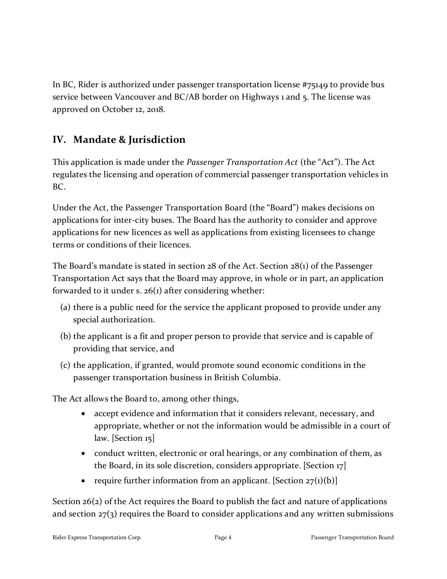In BC, Rider is authorized under passenger transportation license #75149 to provide bus service between Vancouver and BC/AB border on Highways 1 and 5. The license was approved on October 12, 2018.

## **IV. Mandate & Jurisdiction**

This application is made under the *Passenger Transportation Act* (the "Act"). The Act regulates the licensing and operation of commercial passenger transportation vehicles in BC.

Under the Act, the Passenger Transportation Board (the "Board") makes decisions on applications for inter-city buses. The Board has the authority to consider and approve applications for new licences as well as applications from existing licensees to change terms or conditions of their licences.

The Board's mandate is stated in section 28 of the Act. Section 28(1) of the Passenger Transportation Act says that the Board may approve, in whole or in part, an application forwarded to it under s. 26(1) after considering whether:

- (a) there is a public need for the service the applicant proposed to provide under any special authorization.
- (b) the applicant is a fit and proper person to provide that service and is capable of providing that service, and
- (c) the application, if granted, would promote sound economic conditions in the passenger transportation business in British Columbia.

The Act allows the Board to, among other things,

- accept evidence and information that it considers relevant, necessary, and appropriate, whether or not the information would be admissible in a court of law. [Section 15]
- conduct written, electronic or oral hearings, or any combination of them, as the Board, in its sole discretion, considers appropriate. [Section 17]
- require further information from an applicant. [Section  $27(i)(b)$ ]

Section 26(2) of the Act requires the Board to publish the fact and nature of applications and section  $27(3)$  requires the Board to consider applications and any written submissions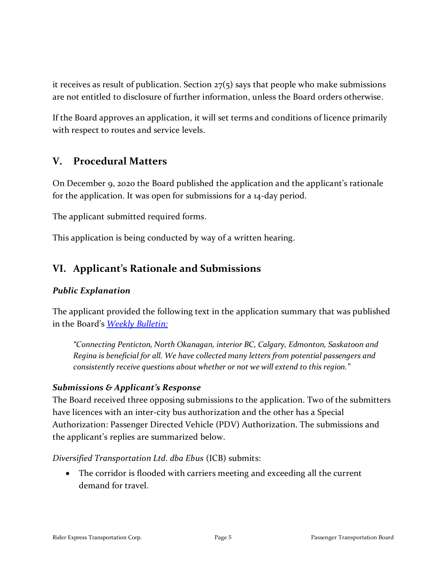it receives as result of publication. Section  $27(5)$  says that people who make submissions are not entitled to disclosure of further information, unless the Board orders otherwise.

If the Board approves an application, it will set terms and conditions of licence primarily with respect to routes and service levels.

## **V. Procedural Matters**

On December 9, 2020 the Board published the application and the applicant's rationale for the application. It was open for submissions for a 14-day period.

The applicant submitted required forms.

This application is being conducted by way of a written hearing.

## **VI. Applicant's Rationale and Submissions**

#### *Public Explanation*

The applicant provided the following text in the application summary that was published in the Board's *[Weekly Bulletin:](https://www.ptboard.bc.ca/Bulletins/2020/20201209_Bulletin.pdf)*

*"Connecting Penticton, North Okanagan, interior BC, Calgary, Edmonton, Saskatoon and Regina is beneficial for all. We have collected many letters from potential passengers and consistently receive questions about whether or not we will extend to this region."*

#### *Submissions & Applicant's Response*

The Board received three opposing submissions to the application. Two of the submitters have licences with an inter-city bus authorization and the other has a Special Authorization: Passenger Directed Vehicle (PDV) Authorization. The submissions and the applicant's replies are summarized below.

*Diversified Transportation Ltd. dba Ebus* (ICB) submits:

• The corridor is flooded with carriers meeting and exceeding all the current demand for travel.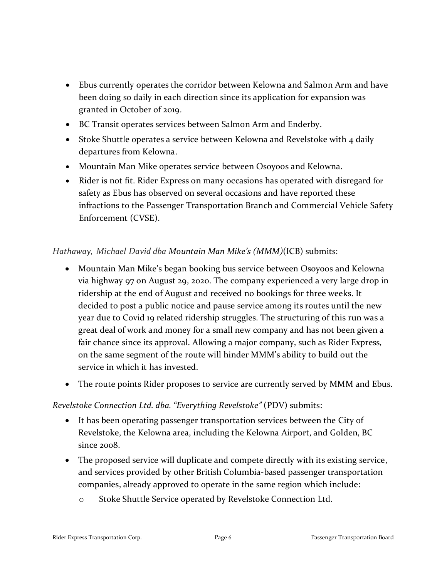- Ebus currently operates the corridor between Kelowna and Salmon Arm and have been doing so daily in each direction since its application for expansion was granted in October of 2019.
- BC Transit operates services between Salmon Arm and Enderby.
- Stoke Shuttle operates a service between Kelowna and Revelstoke with 4 daily departures from Kelowna.
- Mountain Man Mike operates service between Osoyoos and Kelowna.
- Rider is not fit. Rider Express on many occasions has operated with disregard for safety as Ebus has observed on several occasions and have reported these infractions to the Passenger Transportation Branch and Commercial Vehicle Safety Enforcement (CVSE).

#### *Hathaway, Michael David dba Mountain Man Mike's (MMM)*(ICB) submits:

- Mountain Man Mike's began booking bus service between Osoyoos and Kelowna via highway 97 on August 29, 2020. The company experienced a very large drop in ridership at the end of August and received no bookings for three weeks. It decided to post a public notice and pause service among its routes until the new year due to Covid 19 related ridership struggles. The structuring of this run was a great deal of work and money for a small new company and has not been given a fair chance since its approval. Allowing a major company, such as Rider Express, on the same segment of the route will hinder MMM's ability to build out the service in which it has invested.
- The route points Rider proposes to service are currently served by MMM and Ebus.

#### *Revelstoke Connection Ltd. dba. "Everything Revelstoke"* (PDV) submits:

- It has been operating passenger transportation services between the City of Revelstoke, the Kelowna area, including the Kelowna Airport, and Golden, BC since 2008.
- The proposed service will duplicate and compete directly with its existing service, and services provided by other British Columbia-based passenger transportation companies, already approved to operate in the same region which include:
	- o Stoke Shuttle Service operated by Revelstoke Connection Ltd.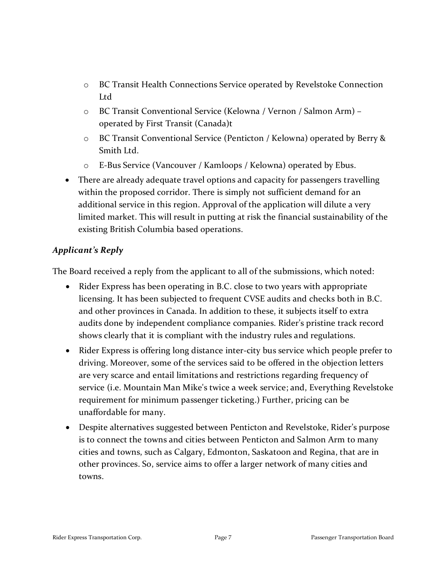- o BC Transit Health Connections Service operated by Revelstoke Connection Ltd
- o BC Transit Conventional Service (Kelowna / Vernon / Salmon Arm) operated by First Transit (Canada)t
- o BC Transit Conventional Service (Penticton / Kelowna) operated by Berry & Smith Ltd.
- o E-Bus Service (Vancouver / Kamloops / Kelowna) operated by Ebus.
- There are already adequate travel options and capacity for passengers travelling within the proposed corridor. There is simply not sufficient demand for an additional service in this region. Approval of the application will dilute a very limited market. This will result in putting at risk the financial sustainability of the existing British Columbia based operations.

### *Applicant's Reply*

The Board received a reply from the applicant to all of the submissions, which noted:

- Rider Express has been operating in B.C. close to two years with appropriate licensing. It has been subjected to frequent CVSE audits and checks both in B.C. and other provinces in Canada. In addition to these, it subjects itself to extra audits done by independent compliance companies. Rider's pristine track record shows clearly that it is compliant with the industry rules and regulations.
- Rider Express is offering long distance inter-city bus service which people prefer to driving. Moreover, some of the services said to be offered in the objection letters are very scarce and entail limitations and restrictions regarding frequency of service (i.e. Mountain Man Mike's twice a week service; and, Everything Revelstoke requirement for minimum passenger ticketing.) Further, pricing can be unaffordable for many.
- Despite alternatives suggested between Penticton and Revelstoke, Rider's purpose is to connect the towns and cities between Penticton and Salmon Arm to many cities and towns, such as Calgary, Edmonton, Saskatoon and Regina, that are in other provinces. So, service aims to offer a larger network of many cities and towns.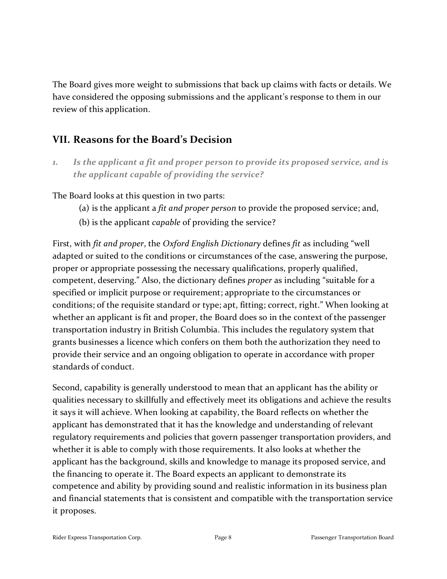The Board gives more weight to submissions that back up claims with facts or details. We have considered the opposing submissions and the applicant's response to them in our review of this application.

## **VII. Reasons for the Board's Decision**

*1. Is the applicant a fit and proper person to provide its proposed service, and is the applicant capable of providing the service?*

The Board looks at this question in two parts:

- (a) is the applicant a *fit and proper person* to provide the proposed service; and,
- (b) is the applicant *capable* of providing the service?

First, with *fit and proper*, the *Oxford English Dictionary* defines *fit* as including "well adapted or suited to the conditions or circumstances of the case, answering the purpose, proper or appropriate possessing the necessary qualifications, properly qualified, competent, deserving." Also, the dictionary defines *proper* as including "suitable for a specified or implicit purpose or requirement; appropriate to the circumstances or conditions; of the requisite standard or type; apt, fitting; correct, right." When looking at whether an applicant is fit and proper, the Board does so in the context of the passenger transportation industry in British Columbia. This includes the regulatory system that grants businesses a licence which confers on them both the authorization they need to provide their service and an ongoing obligation to operate in accordance with proper standards of conduct.

Second, capability is generally understood to mean that an applicant has the ability or qualities necessary to skillfully and effectively meet its obligations and achieve the results it says it will achieve. When looking at capability, the Board reflects on whether the applicant has demonstrated that it has the knowledge and understanding of relevant regulatory requirements and policies that govern passenger transportation providers, and whether it is able to comply with those requirements. It also looks at whether the applicant has the background, skills and knowledge to manage its proposed service, and the financing to operate it. The Board expects an applicant to demonstrate its competence and ability by providing sound and realistic information in its business plan and financial statements that is consistent and compatible with the transportation service it proposes.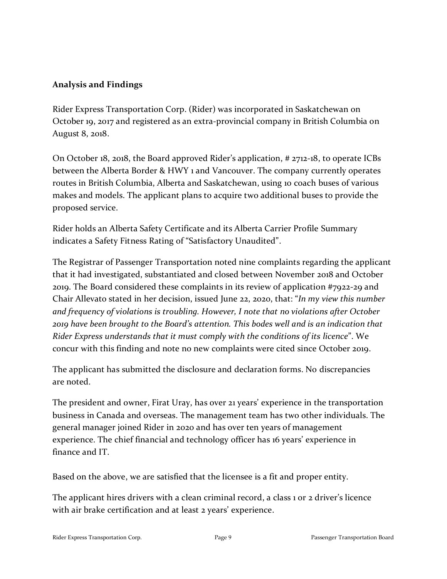#### **Analysis and Findings**

Rider Express Transportation Corp. (Rider) was incorporated in Saskatchewan on October 19, 2017 and registered as an extra-provincial company in British Columbia on August 8, 2018.

On October 18, 2018, the Board approved Rider's application, # 2712-18, to operate ICBs between the Alberta Border & HWY 1 and Vancouver. The company currently operates routes in British Columbia, Alberta and Saskatchewan, using 10 coach buses of various makes and models. The applicant plans to acquire two additional buses to provide the proposed service.

Rider holds an Alberta Safety Certificate and its Alberta Carrier Profile Summary indicates a Safety Fitness Rating of "Satisfactory Unaudited".

The Registrar of Passenger Transportation noted nine complaints regarding the applicant that it had investigated, substantiated and closed between November 2018 and October 2019. The Board considered these complaints in its review of application #7922-29 and Chair Allevato stated in her decision, issued June 22, 2020, that: "*In my view this number and frequency of violations is troubling. However, I note that no violations after October 2019 have been brought to the Board's attention. This bodes well and is an indication that Rider Express understands that it must comply with the conditions of its licence*". We concur with this finding and note no new complaints were cited since October 2019.

The applicant has submitted the disclosure and declaration forms. No discrepancies are noted.

The president and owner, Firat Uray, has over 21 years' experience in the transportation business in Canada and overseas. The management team has two other individuals. The general manager joined Rider in 2020 and has over ten years of management experience. The chief financial and technology officer has 16 years' experience in finance and IT.

Based on the above, we are satisfied that the licensee is a fit and proper entity.

The applicant hires drivers with a clean criminal record, a class 1 or 2 driver's licence with air brake certification and at least 2 years' experience.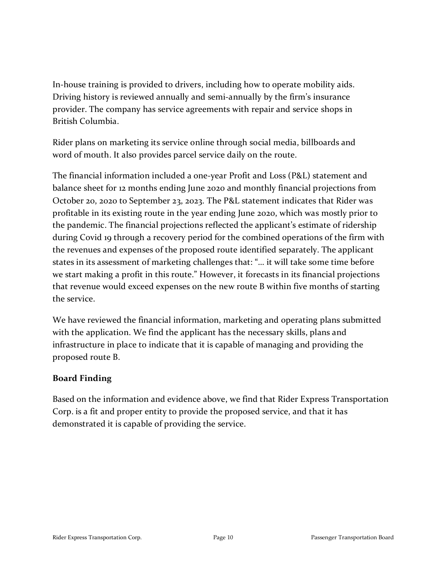In-house training is provided to drivers, including how to operate mobility aids. Driving history is reviewed annually and semi-annually by the firm's insurance provider. The company has service agreements with repair and service shops in British Columbia.

Rider plans on marketing its service online through social media, billboards and word of mouth. It also provides parcel service daily on the route.

The financial information included a one-year Profit and Loss (P&L) statement and balance sheet for 12 months ending June 2020 and monthly financial projections from October 20, 2020 to September 23, 2023. The P&L statement indicates that Rider was profitable in its existing route in the year ending June 2020, which was mostly prior to the pandemic. The financial projections reflected the applicant's estimate of ridership during Covid 19 through a recovery period for the combined operations of the firm with the revenues and expenses of the proposed route identified separately. The applicant states in its assessment of marketing challenges that: "… it will take some time before we start making a profit in this route." However, it forecasts in its financial projections that revenue would exceed expenses on the new route B within five months of starting the service.

We have reviewed the financial information, marketing and operating plans submitted with the application. We find the applicant has the necessary skills, plans and infrastructure in place to indicate that it is capable of managing and providing the proposed route B.

#### **Board Finding**

Based on the information and evidence above, we find that Rider Express Transportation Corp. is a fit and proper entity to provide the proposed service, and that it has demonstrated it is capable of providing the service.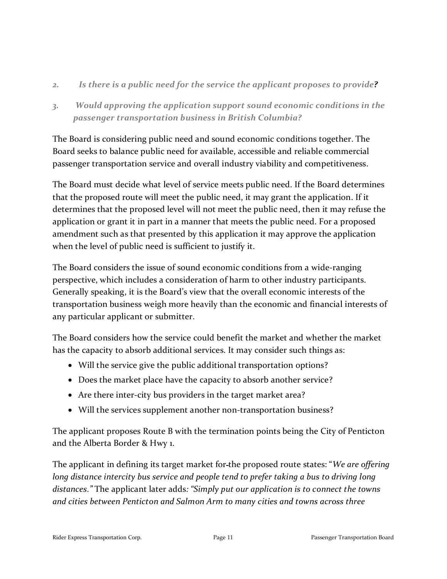- *2. Is there is a public need for the service the applicant proposes to provide?*
- *3. Would approving the application support sound economic conditions in the passenger transportation business in British Columbia?*

The Board is considering public need and sound economic conditions together. The Board seeks to balance public need for available, accessible and reliable commercial passenger transportation service and overall industry viability and competitiveness.

The Board must decide what level of service meets public need. If the Board determines that the proposed route will meet the public need, it may grant the application. If it determines that the proposed level will not meet the public need, then it may refuse the application or grant it in part in a manner that meets the public need. For a proposed amendment such as that presented by this application it may approve the application when the level of public need is sufficient to justify it.

The Board considers the issue of sound economic conditions from a wide-ranging perspective, which includes a consideration of harm to other industry participants. Generally speaking, it is the Board's view that the overall economic interests of the transportation business weigh more heavily than the economic and financial interests of any particular applicant or submitter.

The Board considers how the service could benefit the market and whether the market has the capacity to absorb additional services. It may consider such things as:

- Will the service give the public additional transportation options?
- Does the market place have the capacity to absorb another service?
- Are there inter-city bus providers in the target market area?
- Will the services supplement another non-transportation business?

The applicant proposes Route B with the termination points being the City of Penticton and the Alberta Border & Hwy 1.

The applicant in defining its target market for the proposed route states: "*We are offering long distance intercity bus service and people tend to prefer taking a bus to driving long distances."* The applicant later adds*: "Simply put our application is to connect the towns and cities between Penticton and Salmon Arm to many cities and towns across three*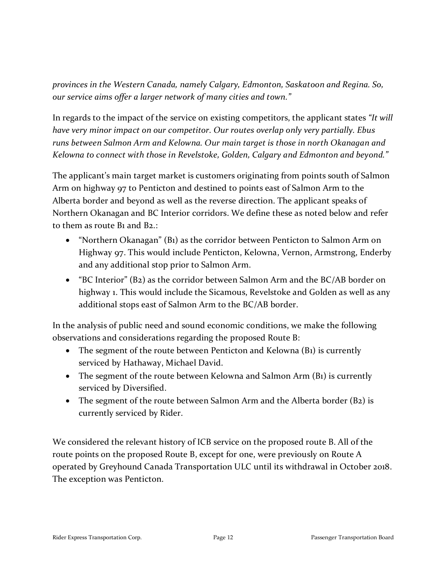*provinces in the Western Canada, namely Calgary, Edmonton, Saskatoon and Regina. So, our service aims offer a larger network of many cities and town."*

In regards to the impact of the service on existing competitors, the applicant states *"It will have very minor impact on our competitor. Our routes overlap only very partially. Ebus runs between Salmon Arm and Kelowna. Our main target is those in north Okanagan and Kelowna to connect with those in Revelstoke, Golden, Calgary and Edmonton and beyond."*

The applicant's main target market is customers originating from points south of Salmon Arm on highway 97 to Penticton and destined to points east of Salmon Arm to the Alberta border and beyond as well as the reverse direction. The applicant speaks of Northern Okanagan and BC Interior corridors. We define these as noted below and refer to them as route B1 and B2.:

- "Northern Okanagan" (B1) as the corridor between Penticton to Salmon Arm on Highway 97. This would include Penticton, Kelowna, Vernon, Armstrong, Enderby and any additional stop prior to Salmon Arm.
- "BC Interior" (B2) as the corridor between Salmon Arm and the BC/AB border on highway 1. This would include the Sicamous, Revelstoke and Golden as well as any additional stops east of Salmon Arm to the BC/AB border.

In the analysis of public need and sound economic conditions, we make the following observations and considerations regarding the proposed Route B:

- The segment of the route between Penticton and Kelowna (B1) is currently serviced by Hathaway, Michael David.
- The segment of the route between Kelowna and Salmon Arm (B1) is currently serviced by Diversified.
- The segment of the route between Salmon Arm and the Alberta border (B2) is currently serviced by Rider.

We considered the relevant history of ICB service on the proposed route B. All of the route points on the proposed Route B, except for one, were previously on Route A operated by Greyhound Canada Transportation ULC until its withdrawal in October 2018. The exception was Penticton.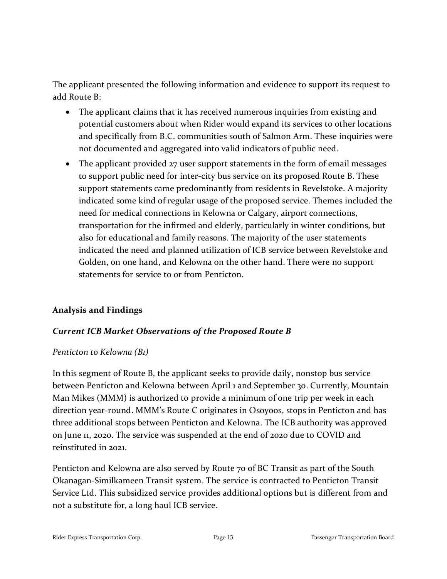The applicant presented the following information and evidence to support its request to add Route B:

- The applicant claims that it has received numerous inquiries from existing and potential customers about when Rider would expand its services to other locations and specifically from B.C. communities south of Salmon Arm. These inquiries were not documented and aggregated into valid indicators of public need.
- The applicant provided 27 user support statements in the form of email messages to support public need for inter-city bus service on its proposed Route B. These support statements came predominantly from residents in Revelstoke. A majority indicated some kind of regular usage of the proposed service. Themes included the need for medical connections in Kelowna or Calgary, airport connections, transportation for the infirmed and elderly, particularly in winter conditions, but also for educational and family reasons. The majority of the user statements indicated the need and planned utilization of ICB service between Revelstoke and Golden, on one hand, and Kelowna on the other hand. There were no support statements for service to or from Penticton.

#### **Analysis and Findings**

#### *Current ICB Market Observations of the Proposed Route B*

#### *Penticton to Kelowna (B1)*

In this segment of Route B, the applicant seeks to provide daily, nonstop bus service between Penticton and Kelowna between April 1 and September 30. Currently, Mountain Man Mikes (MMM) is authorized to provide a minimum of one trip per week in each direction year-round. MMM's Route C originates in Osoyoos, stops in Penticton and has three additional stops between Penticton and Kelowna. The ICB authority was approved on June 11, 2020. The service was suspended at the end of 2020 due to COVID and reinstituted in 2021.

Penticton and Kelowna are also served by Route 70 of BC Transit as part of the South Okanagan-Similkameen Transit system. The service is contracted to Penticton Transit Service Ltd. This subsidized service provides additional options but is different from and not a substitute for, a long haul ICB service.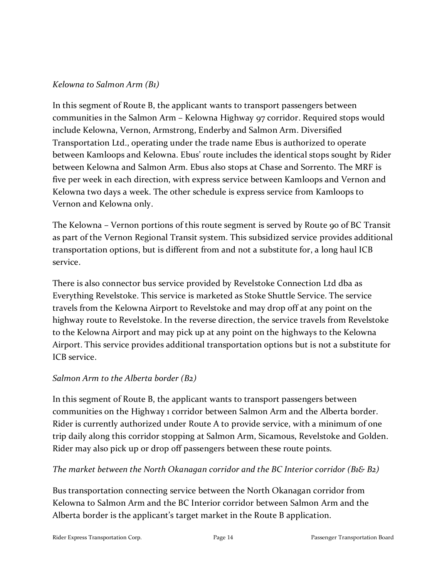#### *Kelowna to Salmon Arm (B1)*

In this segment of Route B, the applicant wants to transport passengers between communities in the Salmon Arm – Kelowna Highway 97 corridor. Required stops would include Kelowna, Vernon, Armstrong, Enderby and Salmon Arm. Diversified Transportation Ltd., operating under the trade name Ebus is authorized to operate between Kamloops and Kelowna. Ebus' route includes the identical stops sought by Rider between Kelowna and Salmon Arm. Ebus also stops at Chase and Sorrento. The MRF is five per week in each direction, with express service between Kamloops and Vernon and Kelowna two days a week. The other schedule is express service from Kamloops to Vernon and Kelowna only.

The Kelowna – Vernon portions of this route segment is served by Route 90 of BC Transit as part of the Vernon Regional Transit system. This subsidized service provides additional transportation options, but is different from and not a substitute for, a long haul ICB service.

There is also connector bus service provided by Revelstoke Connection Ltd dba as Everything Revelstoke. This service is marketed as Stoke Shuttle Service. The service travels from the Kelowna Airport to Revelstoke and may drop off at any point on the highway route to Revelstoke. In the reverse direction, the service travels from Revelstoke to the Kelowna Airport and may pick up at any point on the highways to the Kelowna Airport. This service provides additional transportation options but is not a substitute for ICB service.

#### *Salmon Arm to the Alberta border (B2)*

In this segment of Route B, the applicant wants to transport passengers between communities on the Highway 1 corridor between Salmon Arm and the Alberta border. Rider is currently authorized under Route A to provide service, with a minimum of one trip daily along this corridor stopping at Salmon Arm, Sicamous, Revelstoke and Golden. Rider may also pick up or drop off passengers between these route points.

#### *The market between the North Okanagan corridor and the BC Interior corridor (B1& B2)*

Bus transportation connecting service between the North Okanagan corridor from Kelowna to Salmon Arm and the BC Interior corridor between Salmon Arm and the Alberta border is the applicant's target market in the Route B application.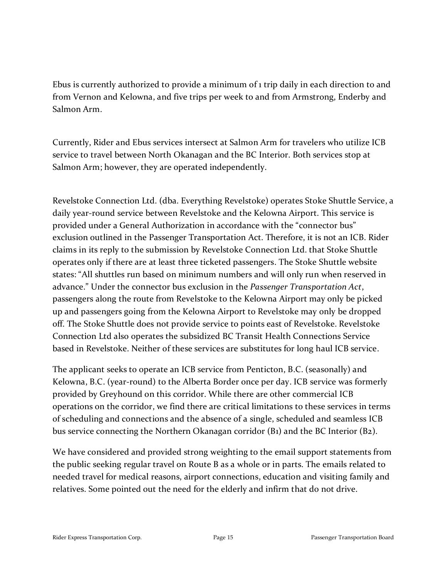Ebus is currently authorized to provide a minimum of 1 trip daily in each direction to and from Vernon and Kelowna, and five trips per week to and from Armstrong, Enderby and Salmon Arm.

Currently, Rider and Ebus services intersect at Salmon Arm for travelers who utilize ICB service to travel between North Okanagan and the BC Interior. Both services stop at Salmon Arm; however, they are operated independently.

Revelstoke Connection Ltd. (dba. Everything Revelstoke) operates Stoke Shuttle Service, a daily year-round service between Revelstoke and the Kelowna Airport. This service is provided under a General Authorization in accordance with the "connector bus" exclusion outlined in the Passenger Transportation Act. Therefore, it is not an ICB. Rider claims in its reply to the submission by Revelstoke Connection Ltd. that Stoke Shuttle operates only if there are at least three ticketed passengers. The Stoke Shuttle website states: "All shuttles run based on minimum numbers and will only run when reserved in advance." Under the connector bus exclusion in the *Passenger Transportation Act*, passengers along the route from Revelstoke to the Kelowna Airport may only be picked up and passengers going from the Kelowna Airport to Revelstoke may only be dropped off. The Stoke Shuttle does not provide service to points east of Revelstoke. Revelstoke Connection Ltd also operates the subsidized BC Transit Health Connections Service based in Revelstoke. Neither of these services are substitutes for long haul ICB service.

The applicant seeks to operate an ICB service from Penticton, B.C. (seasonally) and Kelowna, B.C. (year-round) to the Alberta Border once per day. ICB service was formerly provided by Greyhound on this corridor. While there are other commercial ICB operations on the corridor, we find there are critical limitations to these services in terms of scheduling and connections and the absence of a single, scheduled and seamless ICB bus service connecting the Northern Okanagan corridor (B1) and the BC Interior (B2).

We have considered and provided strong weighting to the email support statements from the public seeking regular travel on Route B as a whole or in parts. The emails related to needed travel for medical reasons, airport connections, education and visiting family and relatives. Some pointed out the need for the elderly and infirm that do not drive.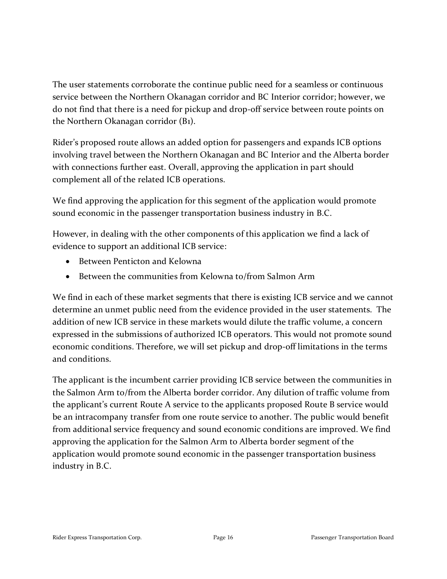The user statements corroborate the continue public need for a seamless or continuous service between the Northern Okanagan corridor and BC Interior corridor; however, we do not find that there is a need for pickup and drop-off service between route points on the Northern Okanagan corridor (B1).

Rider's proposed route allows an added option for passengers and expands ICB options involving travel between the Northern Okanagan and BC Interior and the Alberta border with connections further east. Overall, approving the application in part should complement all of the related ICB operations.

We find approving the application for this segment of the application would promote sound economic in the passenger transportation business industry in B.C.

However, in dealing with the other components of this application we find a lack of evidence to support an additional ICB service:

- Between Penticton and Kelowna
- Between the communities from Kelowna to/from Salmon Arm

We find in each of these market segments that there is existing ICB service and we cannot determine an unmet public need from the evidence provided in the user statements. The addition of new ICB service in these markets would dilute the traffic volume, a concern expressed in the submissions of authorized ICB operators. This would not promote sound economic conditions. Therefore, we will set pickup and drop-off limitations in the terms and conditions.

The applicant is the incumbent carrier providing ICB service between the communities in the Salmon Arm to/from the Alberta border corridor. Any dilution of traffic volume from the applicant's current Route A service to the applicants proposed Route B service would be an intracompany transfer from one route service to another. The public would benefit from additional service frequency and sound economic conditions are improved. We find approving the application for the Salmon Arm to Alberta border segment of the application would promote sound economic in the passenger transportation business industry in B.C.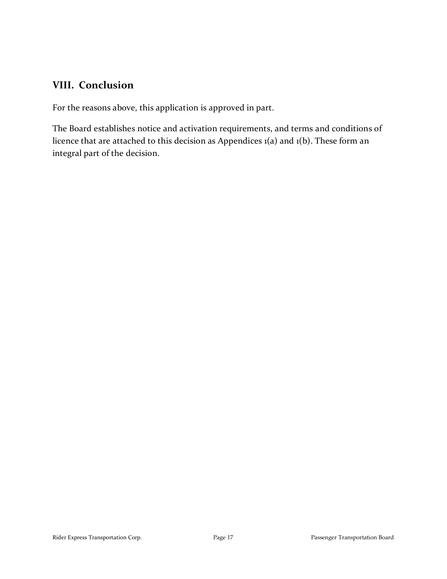## **VIII. Conclusion**

For the reasons above, this application is approved in part.

The Board establishes notice and activation requirements, and terms and conditions of licence that are attached to this decision as Appendices 1(a) and 1(b). These form an integral part of the decision.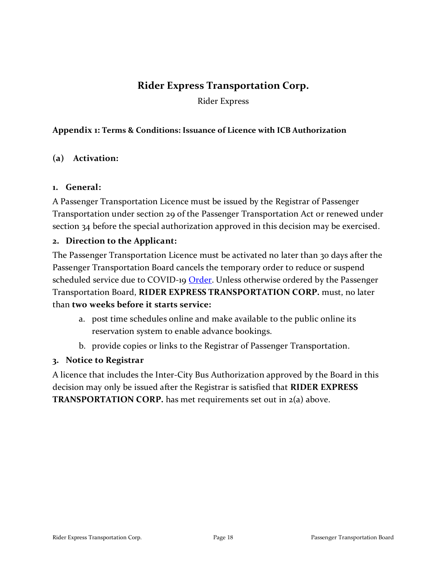## **Rider Express Transportation Corp.**

Rider Express

#### **Appendix 1: Terms & Conditions: Issuance of Licence with ICB Authorization**

#### **(a) Activation:**

#### **1. General:**

A Passenger Transportation Licence must be issued by the Registrar of Passenger Transportation under section 29 of the Passenger Transportation Act or renewed under section 34 before the special authorization approved in this decision may be exercised.

#### **2. Direction to the Applicant:**

The Passenger Transportation Licence must be activated no later than 30 days after the Passenger Transportation Board cancels the temporary order to reduce or suspend scheduled service due to COVID-19 **Order**. Unless otherwise ordered by the Passenger Transportation Board, **RIDER EXPRESS TRANSPORTATION CORP.** must, no later than **two weeks before it starts service:**

- a. post time schedules online and make available to the public online its reservation system to enable advance bookings.
- b. provide copies or links to the Registrar of Passenger Transportation.

#### **3. Notice to Registrar**

A licence that includes the Inter-City Bus Authorization approved by the Board in this decision may only be issued after the Registrar is satisfied that **RIDER EXPRESS TRANSPORTATION CORP.** has met requirements set out in 2(a) above.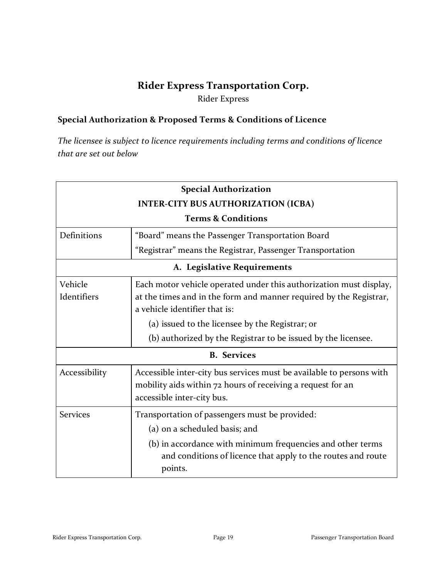## **Rider Express Transportation Corp.**

Rider Express

#### **Special Authorization & Proposed Terms & Conditions of Licence**

*The licensee is subject to licence requirements including terms and conditions of licence that are set out below* 

| <b>Special Authorization</b>               |                                                                                                                                                                           |  |
|--------------------------------------------|---------------------------------------------------------------------------------------------------------------------------------------------------------------------------|--|
| <b>INTER-CITY BUS AUTHORIZATION (ICBA)</b> |                                                                                                                                                                           |  |
| <b>Terms &amp; Conditions</b>              |                                                                                                                                                                           |  |
| Definitions                                | "Board" means the Passenger Transportation Board                                                                                                                          |  |
|                                            | "Registrar" means the Registrar, Passenger Transportation                                                                                                                 |  |
| A. Legislative Requirements                |                                                                                                                                                                           |  |
| Vehicle<br>Identifiers                     | Each motor vehicle operated under this authorization must display,<br>at the times and in the form and manner required by the Registrar,<br>a vehicle identifier that is: |  |
|                                            | (a) issued to the licensee by the Registrar; or                                                                                                                           |  |
|                                            | (b) authorized by the Registrar to be issued by the licensee.                                                                                                             |  |
| <b>B.</b> Services                         |                                                                                                                                                                           |  |
| Accessibility                              | Accessible inter-city bus services must be available to persons with<br>mobility aids within 72 hours of receiving a request for an<br>accessible inter-city bus.         |  |
| <b>Services</b>                            | Transportation of passengers must be provided:<br>(a) on a scheduled basis; and                                                                                           |  |
|                                            | (b) in accordance with minimum frequencies and other terms<br>and conditions of licence that apply to the routes and route<br>points.                                     |  |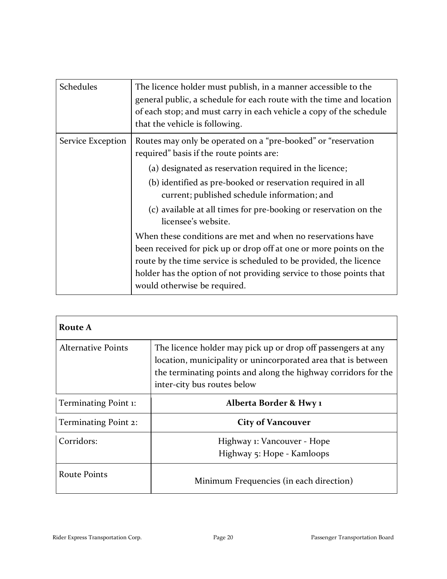| Schedules         | The licence holder must publish, in a manner accessible to the<br>general public, a schedule for each route with the time and location<br>of each stop; and must carry in each vehicle a copy of the schedule<br>that the vehicle is following.                                                                |
|-------------------|----------------------------------------------------------------------------------------------------------------------------------------------------------------------------------------------------------------------------------------------------------------------------------------------------------------|
| Service Exception | Routes may only be operated on a "pre-booked" or "reservation<br>required" basis if the route points are:                                                                                                                                                                                                      |
|                   | (a) designated as reservation required in the licence;                                                                                                                                                                                                                                                         |
|                   | (b) identified as pre-booked or reservation required in all<br>current; published schedule information; and                                                                                                                                                                                                    |
|                   | (c) available at all times for pre-booking or reservation on the<br>licensee's website.                                                                                                                                                                                                                        |
|                   | When these conditions are met and when no reservations have<br>been received for pick up or drop off at one or more points on the<br>route by the time service is scheduled to be provided, the licence<br>holder has the option of not providing service to those points that<br>would otherwise be required. |

| Route A                   |                                                                                                                                                                                                                                |
|---------------------------|--------------------------------------------------------------------------------------------------------------------------------------------------------------------------------------------------------------------------------|
| <b>Alternative Points</b> | The licence holder may pick up or drop off passengers at any<br>location, municipality or unincorporated area that is between<br>the terminating points and along the highway corridors for the<br>inter-city bus routes below |
| Terminating Point 1:      | Alberta Border & Hwy 1                                                                                                                                                                                                         |
| Terminating Point 2:      | <b>City of Vancouver</b>                                                                                                                                                                                                       |
| Corridors:                | Highway 1: Vancouver - Hope<br>Highway 5: Hope - Kamloops                                                                                                                                                                      |
| <b>Route Points</b>       | Minimum Frequencies (in each direction)                                                                                                                                                                                        |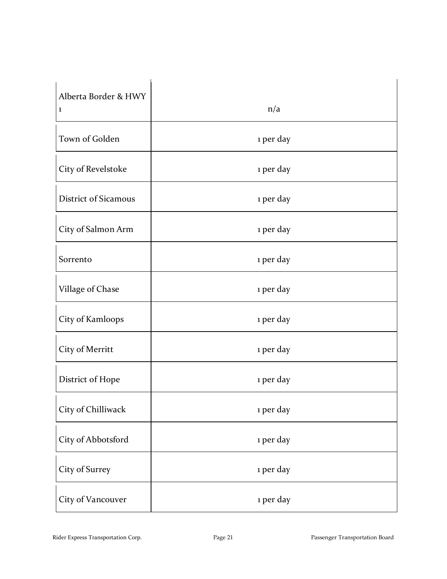| Alberta Border & HWY<br>1   | n/a       |
|-----------------------------|-----------|
| Town of Golden              | 1 per day |
| City of Revelstoke          | 1 per day |
| <b>District of Sicamous</b> | 1 per day |
| City of Salmon Arm          | 1 per day |
| Sorrento                    | 1 per day |
| Village of Chase            | 1 per day |
| City of Kamloops            | 1 per day |
| City of Merritt             | 1 per day |
| District of Hope            | 1 per day |
| City of Chilliwack          | 1 per day |
| City of Abbotsford          | 1 per day |
| City of Surrey              | 1 per day |
| City of Vancouver           | 1 per day |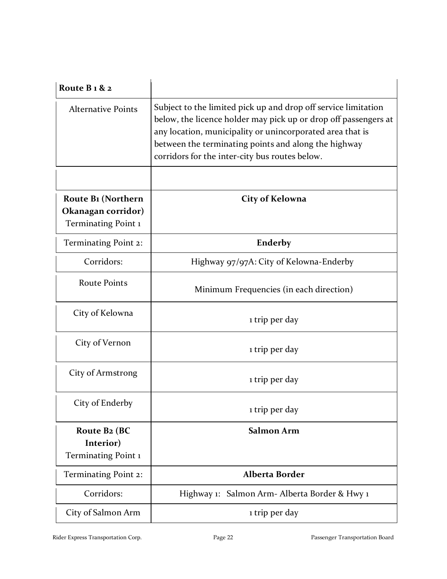| Route B <sub>1</sub> & <sub>2</sub>                             |                                                                                                                                                                                                                                                                                                          |
|-----------------------------------------------------------------|----------------------------------------------------------------------------------------------------------------------------------------------------------------------------------------------------------------------------------------------------------------------------------------------------------|
| <b>Alternative Points</b>                                       | Subject to the limited pick up and drop off service limitation<br>below, the licence holder may pick up or drop off passengers at<br>any location, municipality or unincorporated area that is<br>between the terminating points and along the highway<br>corridors for the inter-city bus routes below. |
|                                                                 |                                                                                                                                                                                                                                                                                                          |
| Route B1 (Northern<br>Okanagan corridor)<br>Terminating Point 1 | City of Kelowna                                                                                                                                                                                                                                                                                          |
| Terminating Point 2:                                            | <b>Enderby</b>                                                                                                                                                                                                                                                                                           |
| Corridors:                                                      | Highway 97/97A: City of Kelowna-Enderby                                                                                                                                                                                                                                                                  |
| <b>Route Points</b>                                             | Minimum Frequencies (in each direction)                                                                                                                                                                                                                                                                  |
| City of Kelowna                                                 | 1 trip per day                                                                                                                                                                                                                                                                                           |
| City of Vernon                                                  | 1 trip per day                                                                                                                                                                                                                                                                                           |
| City of Armstrong                                               | 1 trip per day                                                                                                                                                                                                                                                                                           |
| City of Enderby                                                 | 1 trip per day                                                                                                                                                                                                                                                                                           |
| Route B <sub>2</sub> (BC<br>Interior)<br>Terminating Point 1    | <b>Salmon Arm</b>                                                                                                                                                                                                                                                                                        |
| Terminating Point 2:                                            | <b>Alberta Border</b>                                                                                                                                                                                                                                                                                    |
| Corridors:                                                      | Salmon Arm- Alberta Border & Hwy 1<br>Highway 1:                                                                                                                                                                                                                                                         |
| City of Salmon Arm                                              | 1 trip per day                                                                                                                                                                                                                                                                                           |